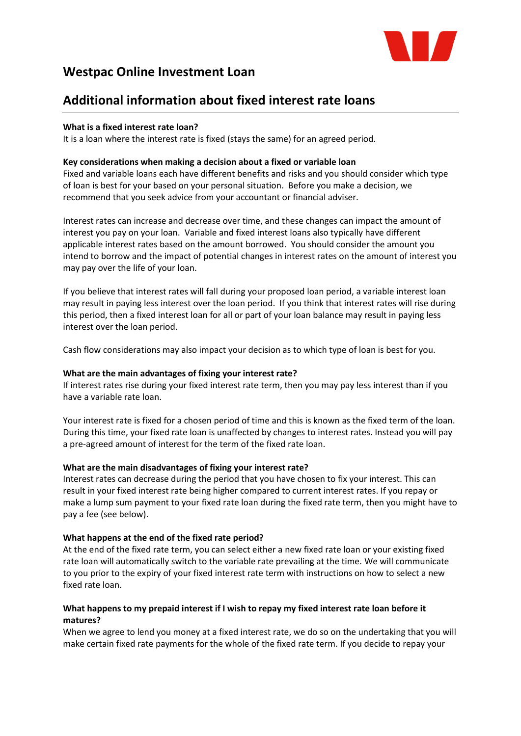

# **Westpac Online Investment Loan**

# **Additional information about fixed interest rate loans**

## **What is a fixed interest rate loan?**

It is a loan where the interest rate is fixed (stays the same) for an agreed period.

### **Key considerations when making a decision about a fixed or variable loan**

Fixed and variable loans each have different benefits and risks and you should consider which type of loan is best for your based on your personal situation. Before you make a decision, we recommend that you seek advice from your accountant or financial adviser.

Interest rates can increase and decrease over time, and these changes can impact the amount of interest you pay on your loan. Variable and fixed interest loans also typically have different applicable interest rates based on the amount borrowed. You should consider the amount you intend to borrow and the impact of potential changes in interest rates on the amount of interest you may pay over the life of your loan.

If you believe that interest rates will fall during your proposed loan period, a variable interest loan may result in paying less interest over the loan period. If you think that interest rates will rise during this period, then a fixed interest loan for all or part of your loan balance may result in paying less interest over the loan period.

Cash flow considerations may also impact your decision as to which type of loan is best for you.

### **What are the main advantages of fixing your interest rate?**

If interest rates rise during your fixed interest rate term, then you may pay less interest than if you have a variable rate loan.

Your interest rate is fixed for a chosen period of time and this is known as the fixed term of the loan. During this time, your fixed rate loan is unaffected by changes to interest rates. Instead you will pay a pre-agreed amount of interest for the term of the fixed rate loan.

### **What are the main disadvantages of fixing your interest rate?**

Interest rates can decrease during the period that you have chosen to fix your interest. This can result in your fixed interest rate being higher compared to current interest rates. If you repay or make a lump sum payment to your fixed rate loan during the fixed rate term, then you might have to pay a fee (see below).

### **What happens at the end of the fixed rate period?**

At the end of the fixed rate term, you can select either a new fixed rate loan or your existing fixed rate loan will automatically switch to the variable rate prevailing at the time. We will communicate to you prior to the expiry of your fixed interest rate term with instructions on how to select a new fixed rate loan.

## **What happens to my prepaid interest if I wish to repay my fixed interest rate loan before it matures?**

When we agree to lend you money at a fixed interest rate, we do so on the undertaking that you will make certain fixed rate payments for the whole of the fixed rate term. If you decide to repay your